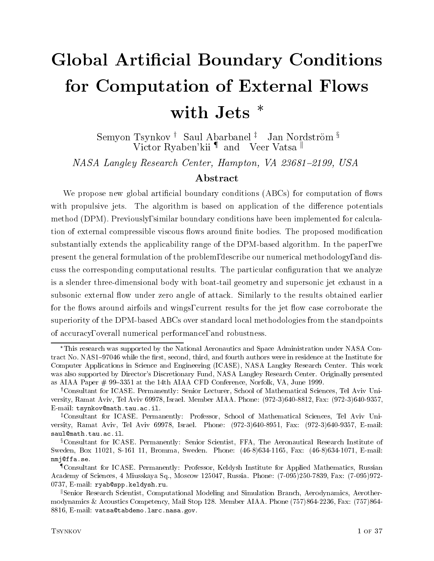# Global Articial Boundary Conditions for Computation of External Flows with Jets<sup>\*</sup>

Semyon Tsynkov<sup>†</sup> Saul Abarbanel<sup>‡</sup> Jan Nordström<sup>§</sup> Victor Ryaben'kii <sup>1</sup> and Veer Vatsa

NASA Langley Research Center, Hampton, VA 23681-2199, USA

We propose new global artificial boundary conditions (ABCs) for computation of flows with propulsive jets. The algorithm is based on application of the difference potentials method (DPM). Previously, similar boundary conditions have been implemented for calculation of external compressible viscous flows around finite bodies. The proposed modification substantially extends the applicability range of the DPM-based algorithm. In the paper, we present the general formulation of the problem, describe our numerical methodology, and discuss the corresponding computational results. The particular conguration that we analyze is a slender three-dimensional body with boat-tail geometry and supersonic jet exhaust in a subsonic external flow under zero angle of attack. Similarly to the results obtained earlier for the flows around airfoils and wings, current results for the jet flow case corroborate the superiority of the DPM-based ABCs over standard local methodologies from the standpoints of accuracy, overall numerical performance, and robustness.

This research was supported by the National Aeronautics and Space Administration under NASA Contract No. NAS1-97046 while the first, second, third, and fourth authors were in residence at the Institute for Computer Applications in Science and Engineering (ICASE), NASA Langley Research Center. This work was also supported by Director's Discretionary Fund, NASA Langley Research Center. Originally presented as AIAA Paper # 99-3351 at the 14th AIAA CFD Conference, Norfolk, VA, June 1999.

<sup>&</sup>lt;sup>†</sup>Consultant for ICASE. Permanently: Senior Lecturer, School of Mathematical Sciences, Tel Aviv University, Ramat Aviv, Tel Aviv 69978, Israel. Member AIAA. Phone: (972-3)640-8812, Fax: (972-3)640-9357, E-mail: tsynkov@math.tau.ac.il.

<sup>&</sup>lt;sup>‡</sup>Consultant for ICASE. Permanently: Professor, School of Mathematical Sciences, Tel Aviv University, Ramat Aviv, Tel Aviv 69978, Israel. Phone: (972-3)640-8951, Fax: (972-3)640-9357, E-mail: saul@math.tau.ac.il.

<sup>&</sup>lt;sup>§</sup>Consultant for ICASE. Permanently: Senior Scientist, FFA, The Aeronautical Research Institute of Sweden, Box 11021, S-161 11, Bromma, Sweden. Phone: (46-8)634-1165, Fax: (46-8)634-1071, E-mail: nmj@ffa.se.

<sup>{</sup>Consultant for ICASE. Permanently: Professor, Keldysh Institute for Applied Mathematics, Russian Academy of Sciences, 4 Miusskaya Sq., Moscow 125047, Russia. Phone: (7-095)250-7839, Fax: (7-095)972- 0737, E-mail: ryab@spp.keldysh.ru.

Senior Research Scientist, Computational Modeling and Simulation Branch, Aerodynamics, Aerothermodynamics & Acoustics Competency, Mail Stop 128. Member AIAA. Phone (757)864-2236, Fax: (757)864- 8816, E-mail: vatsa@tabdemo.larc.nasa.gov.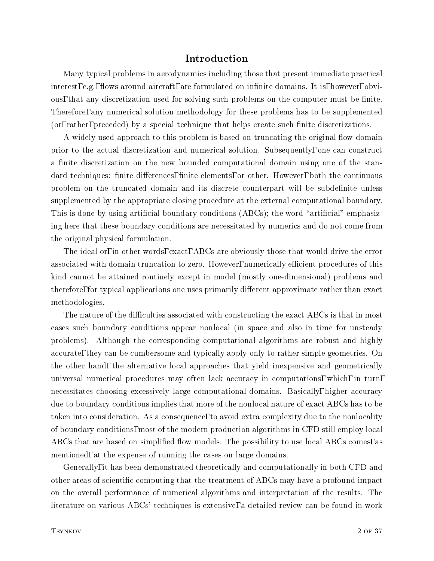#### Introduction

Many typical problems in aerodynamics including those that present immediate practical interest, e.g., flows around aircraft, are formulated on infinite domains. It is, however, obvious, that any discretization used for solving such problems on the computer must be finite. Therefore, any numerical solution methodology for these problems has to be supplemented (or, rather, preceded) by a special technique that helps create such finite discretizations.

A widely used approach to this problem is based on truncating the original flow domain prior to the actual discretization and numerical solution. Subsequently, one can construct a finite discretization on the new bounded computational domain using one of the standard techniques: finite differences, finite elements, or other. However, both the continuous problem on the truncated domain and its discrete counterpart will be subdefinite unless supplemented by the appropriate closing procedure at the external computational boundary. This is done by using artificial boundary conditions (ABCs); the word "artificial" emphasizing here that these boundary conditions are necessitated by numerics and do not come from the original physical formulation.

The ideal or, in other words, exact, ABCs are obviously those that would drive the error associated with domain truncation to zero. However, numerically efficient procedures of this kind cannot be attained routinely except in model (mostly one-dimensional) problems and therefore, for typical applications one uses primarily different approximate rather than exact methodologies.

The nature of the difficulties associated with constructing the exact ABCs is that in most cases such boundary conditions appear nonlocal (in space and also in time for unsteady problems). Although the corresponding computational algorithms are robust and highly accurate, they can be cumbersome and typically apply only to rather simple geometries. On the other hand, the alternative local approaches that yield inexpensive and geometrically universal numerical procedures may often lack accuracy in computations, which, in turn, necessitates choosing excessively large computational domains. Basically, higher accuracy due to boundary conditions implies that more of the nonlocal nature of exact ABCs has to be taken into consideration. As a consequence, to avoid extra complexity due to the nonlocality of boundary conditions, most of the modern production algorithms in CFD still employ local ABCs that are based on simplified flow models. The possibility to use local ABCs comes, as mentioned, at the expense of running the cases on large domains.

Generally, it has been demonstrated theoretically and computationally in both CFD and other areas of scientic computing that the treatment of ABCs may have a profound impact on the overall performance of numerical algorithms and interpretation of the results. The literature on various ABCs' techniques is extensive, a detailed review can be found in work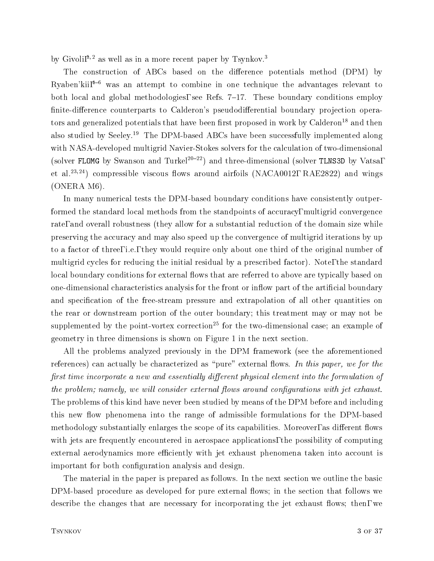by Givoli,<sup>1,2</sup> as well as in a more recent paper by Tsynkov.<sup>3</sup>

The construction of ABCs based on the difference potentials method (DPM) by Ryaben'kii, $4-6$  was an attempt to combine in one technique the advantages relevant to both local and global methodologies, see Refs. 7-17. These boundary conditions employ finite-difference counterparts to Calderon's pseudodifferential boundary projection operators and generalized potentials that have been first proposed in work by Calderon<sup>18</sup> and then also studied by Seeley.19 The DPM-based ABCs have been successfully implemented along with NASA-developed multigrid Navier-Stokes solvers for the calculation of two-dimensional (solver FLOMG by Swanson and Turkel<sup>20-22</sup>) and three-dimensional (solver TLNS3D by Vatsa, et al.<sup>23,24</sup>) compressible viscous flows around airfoils (NACA0012, RAE2822) and wings (ONERA M6).

In many numerical tests the DPM-based boundary conditions have consistently outperformed the standard local methods from the standpoints of accuracy, multigrid convergence rate, and overall robustness (they allow for a substantial reduction of the domain size while preserving the accuracy and may also speed up the convergence of multigrid iterations by up to a factor of three, i.e., they would require only about one third of the original number of multigrid cycles for reducing the initial residual by a prescribed factor). Note, the standard local boundary conditions for external flows that are referred to above are typically based on one-dimensional characteristics analysis for the front or inflow part of the artificial boundary and specification of the free-stream pressure and extrapolation of all other quantities on the rear or downstream portion of the outer boundary; this treatment may or may not be supplemented by the point-vortex correction<sup>25</sup> for the two-dimensional case; an example of geometry in three dimensions is shown on Figure 1 in the next section.

All the problems analyzed previously in the DPM framework (see the aforementioned references) can actually be characterized as "pure" external flows. In this paper, we for the first time incorporate a new and essentially different physical element into the formulation of the problem; namely, we will consider external flows around configurations with jet exhaust. The problems of this kind have never been studied by means of the DPM before and including this new flow phenomena into the range of admissible formulations for the DPM-based methodology substantially enlarges the scope of its capabilities. Moreover, as different flows with jets are frequently encountered in aerospace applications, the possibility of computing external aerodynamics more efficiently with jet exhaust phenomena taken into account is important for both conguration analysis and design.

The material in the paper is prepared as follows. In the next section we outline the basic DPM-based procedure as developed for pure external flows; in the section that follows we describe the changes that are necessary for incorporating the jet exhaust flows; then, we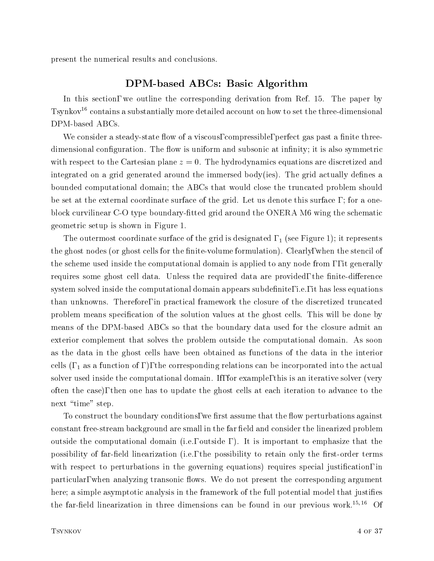present the numerical results and conclusions.

### DPM-based ABCs: Basic Algorithm

In this section, we outline the corresponding derivation from Ref. 15. The paper by Tsynkov<sup>16</sup> contains a substantially more detailed account on how to set the three-dimensional DPM-based ABCs.

We consider a steady-state flow of a viscous, compressible, perfect gas past a finite threedimensional configuration. The flow is uniform and subsonic at infinity; it is also symmetric with respect to the Cartesian plane  $z = 0$ . The hydrodynamics equations are discretized and integrated on a grid generated around the immersed body(ies). The grid actually defines a bounded computational domain; the ABCs that would close the truncated problem should be set at the external coordinate surface of the grid. Let us denote this surface ; for a oneblock curvilinear C-O type boundary-fitted grid around the ONERA M6 wing the schematic geometric setup is shown in Figure 1.

The outermost coordinate surface of the grid is designated,  $_1$  (see Figure 1); it represents the ghost nodes (or ghost cells for the finite-volume formulation). Clearly, when the stencil of the scheme used inside the computational domain is applied to any node from , it generally requires some ghost cell data. Unless the required data are provided, the finite-difference system solved inside the computational domain appears subdefinite, i.e., it has less equations than unknowns. Therefore, in practical framework the closure of the discretized truncated problem means specification of the solution values at the ghost cells. This will be done by means of the DPM-based ABCs so that the boundary data used for the closure admit an exterior complement that solves the problem outside the computational domain. As soon as the data in the ghost cells have been obtained as functions of the data in the interior cells  $(1, 1)$  as a function of  $(1, 1)$ , the corresponding relations can be incorporated into the actual solver used inside the computational domain. If, for example, this is an iterative solver (very often the case), then one has to update the ghost cells at each iteration to advance to the next "time" step.

To construct the boundary conditions, we first assume that the flow perturbations against constant free-stream background are small in the far field and consider the linearized problem outside the computational domain (i.e., outside ). It is important to emphasize that the possibility of far-field linearization (i.e., the possibility to retain only the first-order terms with respect to perturbations in the governing equations) requires special justification, in particular, when analyzing transonic flows. We do not present the corresponding argument here; a simple asymptotic analysis in the framework of the full potential model that justifies the far-field linearization in three dimensions can be found in our previous work.<sup>15,16</sup> Of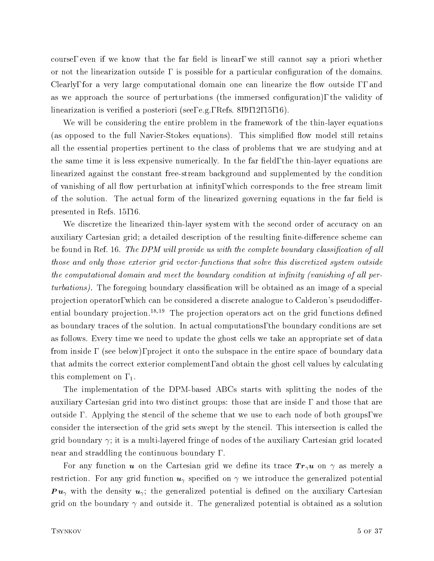course, even if we know that the far field is linear, we still cannot say a priori whether or not the linearization outside, is possible for a particular configuration of the domains. Clearly, for a very large computational domain one can linearize the flow outside,, and as we approach the source of perturbations (the immersed configuration), the validity of linearization is verified a posteriori (see, e.g., Refs. 8, 9, 12, 15, 16).

We will be considering the entire problem in the framework of the thin-layer equations (as opposed to the full Navier-Stokes equations). This simplified flow model still retains all the essential properties pertinent to the class of problems that we are studying and at the same time it is less expensive numerically. In the far field, the thin-layer equations are linearized against the constant free-stream background and supplemented by the condition of vanishing of all flow perturbation at infinity, which corresponds to the free stream limit of the solution. The actual form of the linearized governing equations in the far field is presented in Refs. 15, 16.

We discretize the linearized thin-layer system with the second order of accuracy on an auxiliary Cartesian grid; a detailed description of the resulting finite-difference scheme can be found in Ref. 16. The DPM will provide us with the complete boundary classification of all those and only those exterior grid vector-functions that solve this discretized system outside the computational domain and meet the boundary condition at infinity (vanishing of all perturbations). The foregoing boundary classification will be obtained as an image of a special projection operator, which can be considered a discrete analogue to Calderon's pseudodifferential boundary projection.<sup>18, 19</sup> The projection operators act on the grid functions defined as boundary traces of the solution. In actual computations, the boundary conditions are set as follows. Every time we need to update the ghost cells we take an appropriate set of data from inside, (see below), project it onto the subspace in the entire space of boundary data that admits the correct exterior complement, and obtain the ghost cell values by calculating this complement on  $, 1$ .

The implementation of the DPM-based ABCs starts with splitting the nodes of the auxiliary Cartesian grid into two distinct groups: those that are inside, and those that are outside . Applying the stencil of the scheme that we use to each node of both groups, we consider the intersection of the grid sets swept by the stencil. This intersection is called the grid boundary  $\gamma$ ; it is a multi-layered fringe of nodes of the auxiliary Cartesian grid located near and straddling the continuous boundary,.

For any function  $u$  on the Cartesian grid we define its trace  $Tr_{\gamma}u$  on  $\gamma$  as merely a restriction. For any grid function use the grid function under the generalized potential potential commentatio  $\mathbf{r}$  with the density with generalized potential is defined on the auxiliary Cartesian grid on the boundary  $\gamma$  and outside it. The generalized potential is obtained as a solution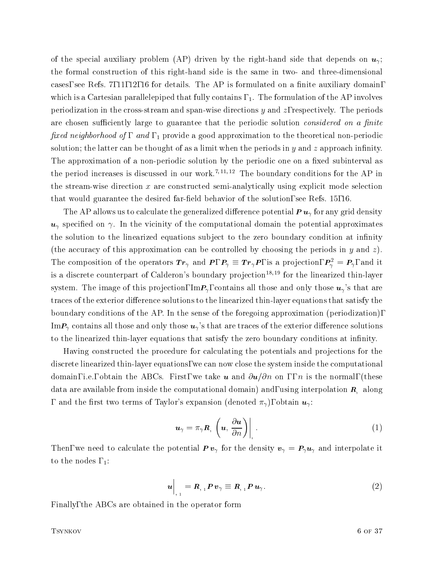of the right-hand auxiliary problem (AP) driven by the right-hand side that depends on up the right-hand on up the formal construction of this right-hand side is the same in two- and three-dimensional cases, see Refs.  $7, 11, 12, 16$  for details. The AP is formulated on a finite auxiliary domain. which is a Cartesian parallelepiped that fully contains,  $_1$ . The formulation of the AP involves periodization in the cross-stream and span-wise directions y and z, respectively. The periods are chosen sufficiently large to guarantee that the periodic solution *considered on a finite* fixed neighborhood of, and, 1 provide a good approximation to the theoretical non-periodic solution; the latter can be thought of as a limit when the periods in y and z approach infinity. The approximation of a non-periodic solution by the periodic one on a fixed subinterval as the period increases is discussed in our work.<sup>7, 11, 12</sup> The boundary conditions for the AP in the stream-wise direction  $x$  are constructed semi-analytically using explicit mode selection that would guarantee the desired far-field behavior of the solution, see Refs.  $15, 16$ .

The TH allows as to calculate the generalized difference potential P uy for any grid density us present on the species of the vicinity of the computation the computational domain processes of presentation the solution to the linearized equations subject to the zero boundary condition at infinity (the accuracy of this approximation can be controlled by choosing the periods in y and  $z$ ). The composition of the operators  $Tr_{\gamma}$  and P,  $P_{\gamma} = Tr_{\gamma}P$ , is a projection,  $P_{\gamma} = P_{\gamma}$ , and it is a discrete counterpart of Calderon's boundary projection<sup>18, 19</sup> for the linearized thin-layer system. The image of this projection,  $\text{Im} P_{\gamma}$ , contains all those and only those  $u_{\gamma}$ 's that are traces of the exterior difference solutions to the linearized thin-layer equations that satisfy the boundary conditions of the AP. In the sense of the foregoing approximation (periodization),  $\mathrm{Im} \boldsymbol{P}_{\!\gamma}$  contains all those and only those  $\boldsymbol{u}_\gamma$ 's that are traces of the exterior difference solutions to the linearized thin-layer equations that satisfy the zero boundary conditions at infinity.

Having constructed the procedure for calculating the potentials and projections for the discrete linearized thin-layer equations, we can now close the system inside the computational domain, i.e., obtain the ABCs. First, we take u and  $\partial u/\partial n$  on , , n is the normal, (these data are available from inside the computational domain) and, using interpolation  $\boldsymbol{R}_1$  along , and the first two terms of Taylor's expansion (denoted  $\pi_{\gamma}$ ), obtain  $u_{\gamma}$ :

$$
\boldsymbol{u}_{\gamma} = \pi_{\gamma} \boldsymbol{R}, \left. \left( \boldsymbol{u}, \frac{\partial \boldsymbol{u}}{\partial n} \right) \right|, \tag{1}
$$

 $T_{\rm{m}}$ , we need to calculate the potential  $T_{\rm{w}}$  for the density  $\omega_{\rm{p}}$   $T_{\rm{w}}$  and interpolate it to the nodes  $, 1$ :

$$
\left. \mathbf{u} \right|_{\mathbf{u}_1} = \mathbf{R}_{\mathbf{u}_1} \mathbf{P} \mathbf{v}_{\gamma} \equiv \mathbf{R}_{\mathbf{u}_1} \mathbf{P} \mathbf{u}_{\gamma}.
$$

Finally, the ABCs are obtained in the operator form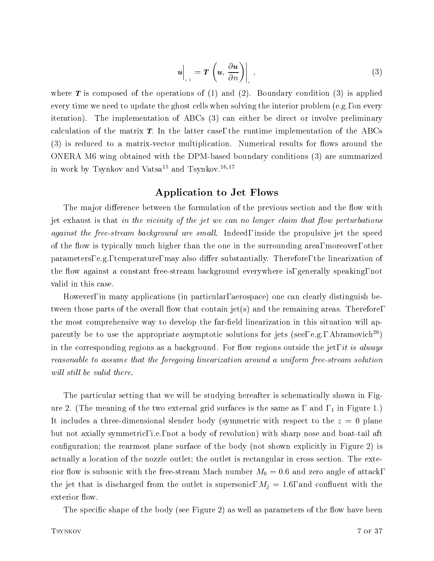$$
u\Big|_{,1} = T\left(u,\frac{\partial u}{\partial n}\right)\Big|_{,1},\tag{3}
$$

where  $T$  is composed of the operations of (1) and (2). Boundary condition (3) is applied every time we need to update the ghost cells when solving the interior problem (e.g., on every iteration). The implementation of ABCs (3) can either be direct or involve preliminary calculation of the matrix  $T$ . In the latter case, the runtime implementation of the ABCs (3) is reduced to a matrix-vector multiplication. Numerical results for flows around the ONERA M6wing obtained with the DPM-based boundary conditions (3) are summarized in work by Tsynkov and Vatsa<sup>15</sup> and Tsynkov.<sup>16,17</sup>

#### Application to Jet Flows

The major difference between the formulation of the previous section and the flow with jet exhaust is that in the vicinity of the jet we can no longer claim that flow perturbations against the free-stream background are small. Indeed, inside the propulsive jet the speed of the ow is typically much higher than the one in the surrounding area, moreover, other parameters, e.g., temperature, may also differ substantially. Therefore, the linearization of the flow against a constant free-stream background everywhere is, generally speaking, not valid in this case.

However, in many applications (in particular, aerospace) one can clearly distinguish between those parts of the overall flow that contain jet(s) and the remaining areas. Therefore, the most comprehensive way to develop the far-field linearization in this situation will apparently be to use the appropriate asymptotic solutions for jets (see, e.g., Abramovich<sup>26</sup>) in the corresponding regions as a background. For flow regions outside the jet, it is always reasonable to assume that the foregoing linearization around a uniform free-stream solution will still be valid there.

The particular setting that we will be studying hereafter is schematically shown in Figure 2. (The meaning of the two external grid surfaces is the same as, and,  $_1$  in Figure 1.) It includes a three-dimensional slender body (symmetric with respect to the  $z = 0$  plane but not axially symmetric, i.e., not a body of revolution) with sharp nose and boat-tail aft configuration; the rearmost plane surface of the body (not shown explicitly in Figure 2) is actually a location of the nozzle outlet; the outlet is rectangular in cross section. The exterior flow is subsonic with the free-stream Mach number  $M_0 = 0.6$  and zero angle of attack, the jet that is discharged from the outlet is supersonic, Mj <sup>=</sup> 1:6, and con
uent with the exterior flow.

The specific shape of the body (see Figure 2) as well as parameters of the flow have been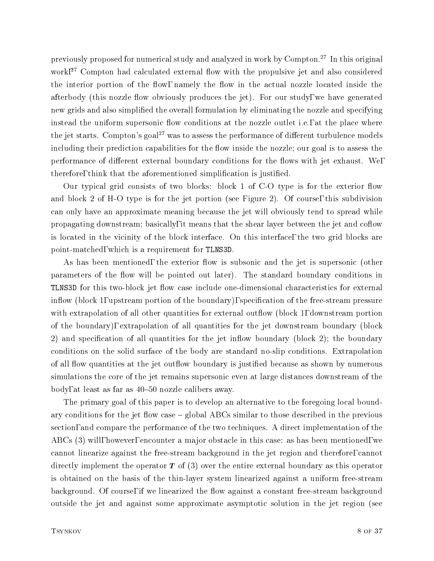previously proposed for numerical study and analyzed in work by Compton.27 In this original work, $27$  Compton had calculated external flow with the propulsive jet and also considered the interior portion of the flow, namely the flow in the actual nozzle located inside the afterbody (this nozzle flow obviously produces the jet). For our study, we have generated new grids and also simplied the overall formulation by eliminating the nozzle and specifying instead the uniform supersonic flow conditions at the nozzle outlet i.e., at the place where the jet starts. Compton's goal<sup>27</sup> was to assess the performance of different turbulence models including their prediction capabilities for the flow inside the nozzle; our goal is to assess the performance of different external boundary conditions for the flows with jet exhaust. We, therefore, think that the aforementioned simplication is justied.

Our typical grid consists of two blocks: block 1 of  $C-O$  type is for the exterior flow and block 2 of H-O type is for the jet portion (see Figure 2). Of course, this subdivision can only have an approximate meaning because the jet will obviously tend to spread while propagating downstream; basically, it means that the shear layer between the jet and coflow is located in the vicinity of the block interface. On this interface, the two grid blocks are point-matched, which is a requirement for TLNS3D.

As has been mentioned, the exterior flow is subsonic and the jet is supersonic (other parameters of the flow will be pointed out later). The standard boundary conditions in **TLNS3D** for this two-block jet flow case include one-dimensional characteristics for external inflow (block 1, upstream portion of the boundary), specification of the free-stream pressure with extrapolation of all other quantities for external outflow (block 1, downstream portion of the boundary), extrapolation of all quantities for the jet downstream boundary (block 2) and specification of all quantities for the jet inflow boundary (block 2); the boundary conditions on the solid surface of the body are standard no-slip conditions. Extrapolation of all flow quantities at the jet outflow boundary is justified because as shown by numerous simulations the core of the jet remains supersonic even at large distances downstream of the body, at least as far as  $40-50$  nozzle calibers away.

The primary goal of this paper is to develop an alternative to the foregoing local boundary conditions for the jet flow case  $-\text{ global ABCs}$  similar to those described in the previous section, and compare the performance of the two techniques. A direct implementation of the ABCs (3) will, however, encounter a major obstacle in this case: as has been mentioned, we cannot linearize against the free-stream background in the jet region and therefore, cannot directly implement the operator  $T$  of  $(3)$  over the entire external boundary as this operator is obtained on the basis of the thin-layer system linearized against a uniform free-stream background. Of course, if we linearized the flow against a constant free-stream background outside the jet and against some approximate asymptotic solution in the jet region (see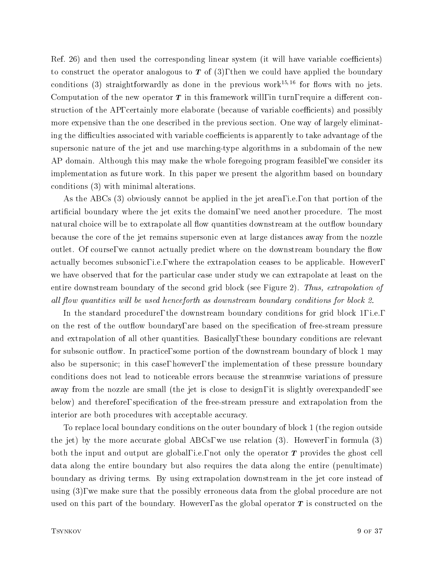$Ref. 26$ ) and then used the corresponding linear system (it will have variable coefficients) to construct the operator analogous to  $T$  of  $(3)$ , then we could have applied the boundary conditions (3) straightforwardly as done in the previous work<sup>15,16</sup> for flows with no jets. Computation of the new operator  $T$  in this framework will, in turn, require a different construction of the AP, certainly more elaborate (because of variable coefficients) and possibly more expensive than the one described in the previous section. One way of largely eliminating the difficulties associated with variable coefficients is apparently to take advantage of the supersonic nature of the jet and use marching-type algorithms in a subdomain of the new AP domain. Although this may make the whole foregoing program feasible, we consider its implementation as future work. In this paper we present the algorithm based on boundary conditions (3) with minimal alterations.

As the ABCs (3) obviously cannot be applied in the jet area, i.e., on that portion of the articial boundary where the jet exits the domain, we need another procedure. The most natural choice will be to extrapolate all flow quantities downstream at the outflow boundary because the core of the jet remains supersonic even atlarge distances away from the nozzle out let. Of course, we cannot actually predict where on the downstream boundary the flow actually becomes subsonic, i.e., where the extrapolation ceases to be applicable. However, we have observed that for the particular case under study we can extrapolate at least on the entire downstream boundary of the second grid block (see Figure 2). Thus, extrapolation of all flow quantities will be used henceforth as downstream boundary conditions for block 2.

In the standard procedure, the downstream boundary conditions for grid block 1, i.e., on the rest of the outflow boundary, are based on the specification of free-stream pressure and extrapolation of all other quantities. Basically, these boundary conditions are relevant for subsonic outflow. In practice, some portion of the downstream boundary of block 1 may also be supersonic; in this case, however, the implementation of these pressure boundary conditions does not lead to noticeable errors because the streamwise variations of pressure away from the nozzle are small (the jet is close to design, it is slightly overexpanded, see below) and therefore, specification of the free-stream pressure and extrapolation from the interior are both procedures with acceptable accuracy.

To replace local boundary conditions on the outer boundary of block 1 (the region outside the jet) by the more accurate global ABCs, we use relation (3). However, in formula (3) both the input and output are global, i.e., not only the operator  $T$  provides the ghost cell data along the entire boundary but also requires the data along the entire (penultimate) boundary as driving terms. By using extrapolation downstream in the jet core instead of using (3), we make sure that the possibly erroneous data from the global procedure are not used on this part of the boundary. However, as the global operator  $T$  is constructed on the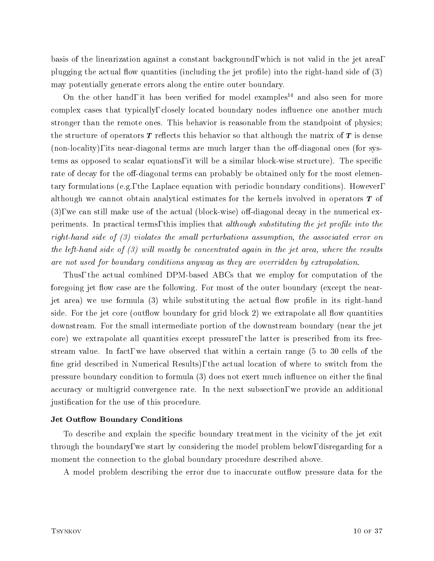basis of the linearization against a constant background, which is not valid in the jet area, plugging the actual flow quantities (including the jet profile) into the right-hand side of (3) may potentially generate errors along the entire outer boundary.

On the other hand, it has been verified for model examples<sup>14</sup> and also seen for more complex cases that typically, closely located boundary nodes influence one another much stronger than the remote ones. This behavior is reasonable from the standpoint of physics; the structure of operators  $\bm{T}$  reflects this behavior so that although the matrix of  $\bm{T}$  is dense  $(non-locality)$ , its near-diagonal terms are much larger than the off-diagonal ones (for systems as opposed to scalar equations, it will be a similar block-wise structure). The specific rate of decay for the off-diagonal terms can probably be obtained only for the most elementary formulations (e.g., the Laplace equation with periodic boundary conditions). However, although we cannot obtain analytical estimates for the kernels involved in operators  $T$  of  $(3)$ , we can still make use of the actual (block-wise) off-diagonal decay in the numerical experiments. In practical terms, this implies that although substituting the jet profile into the right-hand side of  $(3)$  violates the small perturbations assumption, the associated error on the left-hand side of  $(3)$  will mostly be concentrated again in the jet area, where the results are not used for boundary conditions anyway as they are overridden by extrapolation.

Thus, the actual combined DPM-based ABCs that we employ for computation of the foregoing jet flow case are the following. For most of the outer boundary (except the nearjet area) we use formula  $(3)$  while substituting the actual flow profile in its right-hand side. For the jet core (outflow boundary for grid block 2) we extrapolate all flow quantities downstream. For the small intermediate portion of the downstream boundary (near the jet core) we extrapolate all quantities except pressure, the latter is prescribed from its freestream value. In fact, we have observed that within a certain range (5 to 30 cells of the fine grid described in Numerical Results), the actual location of where to switch from the pressure boundary condition to formula (3) does not exert much influence on either the final accuracy or multigrid convergence rate. In the next subsection, we provide an additional justication for the use of this procedure.

#### Jet Outflow Boundary Conditions

To describe and explain the specific boundary treatment in the vicinity of the jet exit through the boundary, we start by considering the model problem below, disregarding for a moment the connection to the global boundary procedure described above.

A model problem describing the error due to inaccurate outflow pressure data for the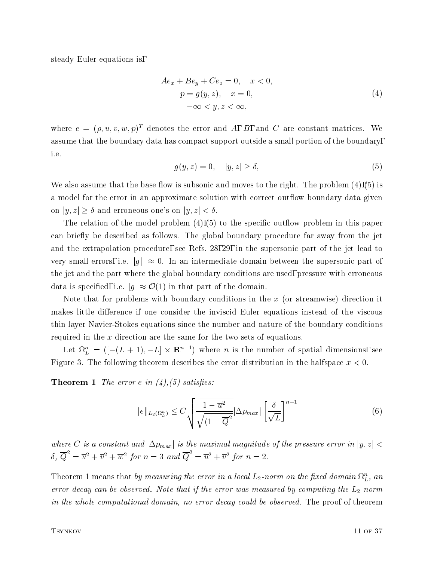steady Euler equations is,

$$
Ae_x + Be_y + Ce_z = 0, \quad x < 0,
$$
\n
$$
p = g(y, z), \quad x = 0,
$$
\n
$$
-\infty < y, z < \infty,
$$
\n
$$
(4)
$$

where  $e = (\rho, u, v, w, p)^T$  denotes the error and A, B, and C are constant matrices. We assume that the boundary data has compact support outside a small portion of the boundary, i.e.

$$
g(y, z) = 0, \quad |y, z| \ge \delta,
$$
\n<sup>(5)</sup>

We also assume that the base flow is subsonic and moves to the right. The problem  $(4)$ ,  $(5)$  is a model for the error in an approximate solution with correct outflow boundary data given on  $|y, z| \ge \delta$  and erroneous one's on  $|y, z| < \delta$ .

The relation of the model problem  $(4)$ , (5) to the specific outflow problem in this paper can briefly be described as follows. The global boundary procedure far away from the jet and the extrapolation procedure, see Refs. 28, 29, in the supersonic part of the jet lead to very small errors, i.e.  $|g| \approx 0$ . In an intermediate domain between the supersonic part of the jet and the part where the global boundary conditions are used, pressure with erroneous data is specified, i.e.  $|g| \approx \mathcal{O}(1)$  in that part of the domain.

Note that for problems with boundary conditions in the  $x$  (or streamwise) direction it makes little difference if one consider the inviscid Euler equations instead of the viscous thin layer Navier-Stokes equations since the number and nature of the boundary conditions required in the  $x$  direction are the same for the two sets of equations.

Let  $\Omega_L^{\tau} = ([-(L + 1), -L] \times \mathbf{R}^{\tau - \tau})$  where *n* is the number of spatial dimensions, see Figure 3. The following theorem describes the error distribution in the halfspace  $x < 0$ .

 $\blacksquare$  The error error end (4),(1), satisfactor in (4),  $\blacksquare$ 

$$
||e||_{L_2(\Omega_L^n)} \le C \sqrt{\frac{1 - \overline{u}^2}{\sqrt{(1 - \overline{Q}^2)}} |\Delta p_{max}| \left[\frac{\delta}{\sqrt{L}}\right]^{n-1}}
$$
(6)

where C is a constant and  $|\Delta p_{max}|$  is the maximal magnitude of the pressure error in  $|y, z|$  <  $\delta$ ,  $Q^{\dagger} = \overline{u^2} + \overline{v^2} + \overline{w^2}$  for  $n = 3$  and  $Q^{\dagger} = \overline{u^2} + \overline{v^2}$  for  $n = 2$ .

Theorem Theans that by measuring the error in a local  $L_2$ -norm on the fixed domain  $\Omega_{L}^*$ , an error decay can be observed. Note that if the error was measured by computing the  $L_2$  norm in the whole computational domain, no error decay could be observed. The proof of theorem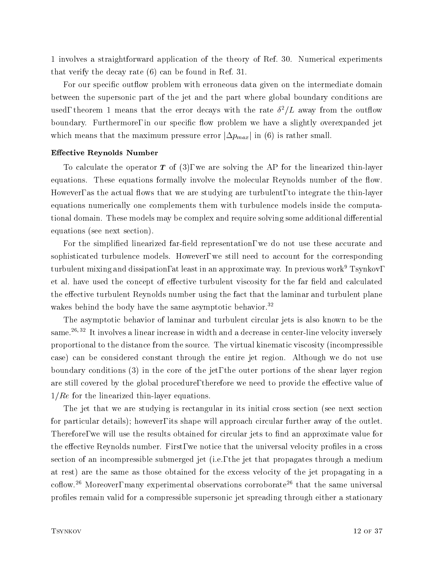1 involves a straightforward application of the theory of Ref. 30. Numerical experiments that verify the decay rate (6) can be found in Ref. 31.

For our specific outflow problem with erroneous data given on the intermediate domain between the supersonic part of the jet and the part where global boundary conditions are used, theorem I means that the error decays with the rate  $\sigma^*/L$  away from the outhow boundary. Furthermore, in our specific flow problem we have a slightly overexpanded jet which means that the maximum pressure error  $|\Delta p_{max}|$  in (6) is rather small.

#### Effective Reynolds Number

To calculate the operator  $T$  of (3), we are solving the AP for the linearized thin-layer equations. These equations formally involve the molecular Reynolds number of the flow. However, as the actual flows that we are studying are turbulent, to integrate the thin-layer equations numerically one complements them with turbulence models inside the computational domain. These models may be complex and require solving some additional differential equations (see next section).

For the simplified linearized far-field representation, we do not use these accurate and sophisticated turbulence models. However, we still need to account for the corresponding turbulent mixing and dissipation, at least in an approximate way. In previous work<sup>9</sup> Tsynkov, et al. have used the concept of effective turbulent viscosity for the far field and calculated the effective turbulent Reynolds number using the fact that the laminar and turbulent plane wakes behind the body have the same asymptotic behavior.<sup>32</sup>

The asymptotic behavior of laminar and turbulent circular jets is also known to be the same.<sup>26,32</sup> It involves a linear increase in width and a decrease in center-line velocity inversely proportional to the distance from the source. The virtual kinematic viscosity (incompressible case) can be considered constant through the entire jet region. Although we do not use boundary conditions (3) in the core of the jet, the outer portions of the shear layer region are still covered by the global procedure, therefore we need to provide the effective value of  $1/Re$  for the linearized thin-layer equations.

The jet that we are studying is rectangular in its initial cross section (see next section for particular details); however, its shape will approach circular further away of the outlet. Therefore, we will use the results obtained for circular jets to find an approximate value for the effective Reynolds number. First, we notice that the universal velocity profiles in a cross section of an incompressible submerged jet (i.e., the jet that propagates through a medium at rest) are the same as those obtained for the excess velocity of the jet propagating in a coflow.<sup>26</sup> Moreover, many experimental observations corroborate<sup>26</sup> that the same universal proles remain valid for a compressible supersonic jet spreading through either a stationary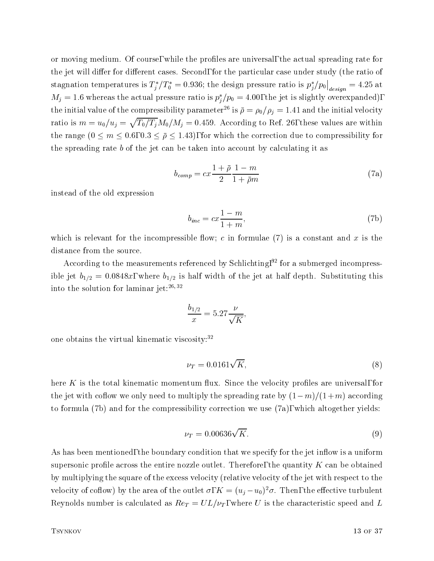or moving medium. Of course, while the profiles are universal, the actual spreading rate for the jet will differ for different cases. Second, for the particular case under study (the ratio of stagnation temperatures is  $T_j/T_0 = 0.936$ ; the design pressure ratio is  $p_j/p_0|_{design}$  $\vert_{design}=4.25$  at  $M_j = 1.6$  whereas the actual pressure ratio is  $p_j / p_0 = 4.00$ , the jet is slightly overexpanded), the initial value of the compressibility parameter<sup>26</sup> is  $\bar{\rho} = \rho_0/\rho_i = 1.41$  and the initial velocity ratio is  $m = u_0/u_j = \sqrt{T_0/T_j} M_0/M_i = 0.459$ . According to Ref. 26, these values are within the range  $(0 \le m \le 0.6, 0.3 \le \bar{\rho} \le 1.43)$ , for which the correction due to compressibility for the spreading rate b of the jet can be taken into account by calculating it as

$$
b_{comp} = cx \frac{1 + \bar{\rho}}{2} \frac{1 - m}{1 + \bar{\rho}m}
$$
 (7a)

instead of the old expression

$$
b_{inc} = cx \frac{1-m}{1+m},\tag{7b}
$$

which is relevant for the incompressible flow; c in formulae (7) is a constant and x is the distance from the source.

According to the measurements referenced by Schlichting,<sup>32</sup> for a submerged incompressible jet  $b_{1/2} = 0.0848x$ , where  $b_{1/2}$  is half width of the jet at half depth. Substituting this into the solution for laminar jet: $26,32$ 

$$
\frac{b_{1/2}}{x} = 5.27 \frac{\nu}{\sqrt{K}},
$$

one obtains the virtual kinematic viscosity:<sup>32</sup>

$$
\nu_T = 0.0161\sqrt{K},\tag{8}
$$

here  $K$  is the total kinematic momentum flux. Since the velocity profiles are universal, for the jet with coflow we only need to multiply the spreading rate by  $(1-m)/(1+m)$  according to formula (7b) and for the compressibility correction we use (7a), which altogether yields:

$$
\nu_T = 0.00636\sqrt{K}.\tag{9}
$$

As has been mentioned, the boundary condition that we specify for the jet inflow is a uniform supersonic profile across the entire nozzle outlet. Therefore, the quantity  $K$  can be obtained by multiplying the square of the excess velocity (relative velocity of the jet with respect to the velocity of collow) by the area of the outlet  $\varrho, K = (u_j - u_0)$   $\varrho$ . Then, the effective turbulent Reynolds number is calculated as ReT <sup>=</sup> UL=T , where <sup>U</sup> is the characteristic speed and <sup>L</sup>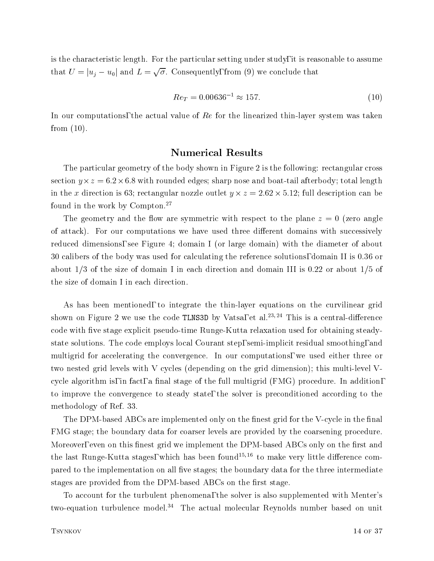is the characteristic length. For the particular setting under study, it is reasonable to assume that  $U = |u_i - u_0|$  and  $L = \sqrt{\sigma}$ . Consequently, from (9) we conclude that

$$
Re_T = 0.00636^{-1} \approx 157. \tag{10}
$$

In our computations, the actual value of  $Re$  for the linearized thin-layer system was taken from  $(10)$ .

#### Numerical Results

The particular geometry of the body shown in Figure 2 is the following: rectangular cross section y -z = 6:2-6:8 with rounded edges; sharp nose and boat-tail afterbody; total length in the x direction is 63; rectangular nozzle outlet y - z = 2:62 - 5:12; full description can be found in the work by Compton.27

The geometry and the flow are symmetric with respect to the plane  $z = 0$  (zero angle of attack). For our computations we have used three different domains with successively reduced dimensions, see Figure 4; domain I (or large domain) with the diameter of about 30 calibers of the body was used for calculating the reference solutions, domain II is 0:36 or about  $1/3$  of the size of domain I in each direction and domain III is 0.22 or about  $1/5$  of the size of domain I in each direction.

As has been mentioned, to integrate the thin-layer equations on the curvilinear grid shown on Figure 2 we use the code TLNS3D by Vatsa, et al.<sup>23,24</sup> This is a central-difference code with five stage explicit pseudo-time Runge-Kutta relaxation used for obtaining steadystate solutions. The code employs local Courant step, semi-implicit residual smoothing, and multigrid for accelerating the convergence. In our computations, we used either three or two nested grid levels with V cycles (depending on the grid dimension); this multi-level Vcycle algorithm is, in fact, a final stage of the full multigrid  $(FMG)$  procedure. In addition, to improve the convergence to steady state, the solver is preconditioned according to the methodology of Ref. 33.

The DPM-based ABCs are implemented only on the finest grid for the V-cycle in the final FMG stage; the boundary data for coarser levels are provided by the coarsening procedure. Moreover, even on this finest grid we implement the DPM-based ABCs only on the first and the last Runge-Kutta stages, which has been found<sup>15,16</sup> to make very little difference compared to the implementation on all five stages; the boundary data for the three intermediate stages are provided from the DPM-based ABCs on the first stage.

To account for the turbulent phenomena, the solver is also supplemented with Menter's two-equation turbulence model. $34$  The actual molecular Reynolds number based on unit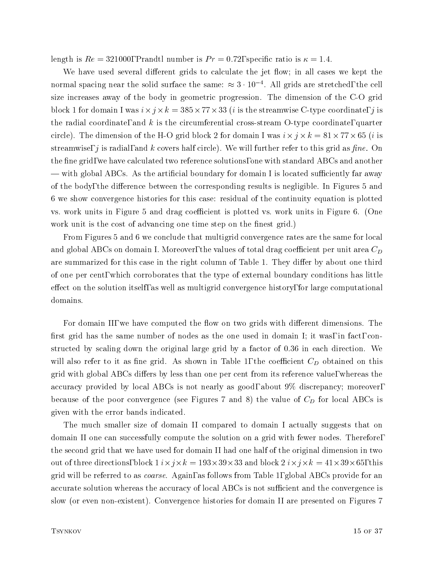length is  $Re = 321000$ , Prandtl number is  $Pr = 0.72$ , specific ratio is  $\kappa = 1.4$ .

We have used several different grids to calculate the jet flow; in all cases we kept the normal spacing near the solid surface the same:  $\approx$  3  $\cdot$  10  $^{-1}$ . All grids are stretched, the cell size increases away of the body in geometric progression. The dimension of the C-O grid block 1 for domain I was i-j -k = 385-77-33 (i is the streamwise C-type coordinate, j is the radial coordinate, and k is the circumferential cross-stream O-type coordinate, quarter circle). The dimension of the H-O grid block 2 for domain I was i - j - k = 81 - 77 - 65 (i is streamwise, j is radial, and k covers half circle). We will further refer to this grid as fine. On the fine grid, we have calculated two reference solutions, one with standard ABCs and another  $-$  with global ABCs. As the artificial boundary for domain I is located sufficiently far away of the body, the difference between the corresponding results is negligible. In Figures 5 and 6 we show convergence histories for this case: residual of the continuity equation is plotted vs. work units in Figure 5 and drag coefficient is plotted vs. work units in Figure 6. (One work unit is the cost of advancing one time step on the finest grid.)

From Figures 5 and 6 we conclude that multigrid convergence rates are the same for local and global ABCs on domain I. Moreover, the values of total drag coefficient per unit area  $C_D$ are summarized for this case in the right column of Table 1. They differ by about one third of one per cent, which corroborates that the type of external boundary conditions has little effect on the solution itself, as well as multigrid convergence history, for large computational domains.

For domain II, we have computed the flow on two grids with different dimensions. The first grid has the same number of nodes as the one used in domain I; it was, in fact, constructed by scaling down the original large grid by a factor of 0:36 in each direction. We  $\alpha$  is assumed in Table 1, the coefficient CD obtained on the coefficient CD obtained on the coefficient CD obtained on this coefficient CD obtained on this coefficient CD obtained on the coefficient CD obtained on this grid with global ABCs differs by less than one per cent from its reference value, whereas the accuracy provided by local ABCs is not nearly as good, about 9% discrepancy; moreover, because of the poor convergence (see Figures 7 and 8) the value of CD for local ABCs is given with the error bands indicated.

The much smaller size of domain II compared to domain I actually suggests that on domain II one can successfully compute the solution on a grid with fewer nodes. Therefore, the second grid that we have used for domain II had one half of the original dimension in two out the three directions, block 2 i-i-j-i-i- 203-i-do when the set 2 i-i-j-i-i- 22 i-do i-do i-do igrid will be referred to as coarse. Again, as follows from Table 1, global ABCs provide for an accurate solution whereas the accuracy of local ABCs is not sufficient and the convergence is slow (or even non-existent). Convergence histories for domain II are presented on Figures 7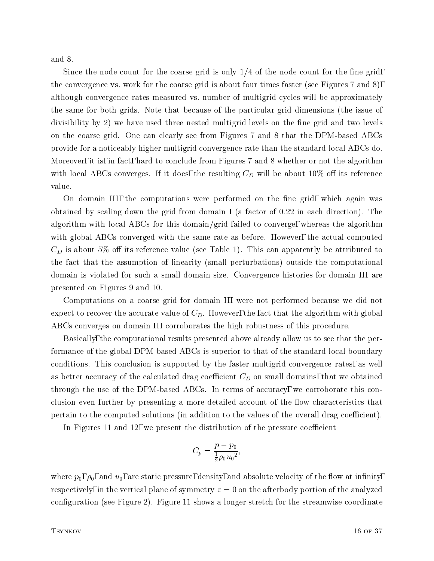and 8.

Since the node count for the coarse grid is only  $1/4$  of the node count for the fine grid. the convergence vs. work for the coarse grid is about four times faster (see Figures 7 and 8), although convergence rates measured vs. number of multigrid cycles will be approximately the same for both grids. Note that because of the particular grid dimensions (the issue of divisibility by 2) we have used three nested multigrid levels on the fine grid and two levels on the coarse grid. One can clearly see from Figures 7 and 8 that the DPM-based ABCs provide for a noticeably higher multigrid convergence rate than the standard local ABCs do. Moreover, it is, in fact, hard to conclude from Figures 7 and 8 whether or not the algorithm with local ABCs converges. If it does, the resulting  $\sim D$  will be about 20% of its resulting  $\sim$ value.

On domain III, the computations were performed on the fine grid, which again was obtained by scaling down the grid from domain I (a factor of 0.22 in each direction). The algorithm with local ABCs for this domain/grid failed to converge, whereas the algorithm with global ABCs converged with the same rate as before. However, the actual computed  $\Gamma$  is about 5% of its canadian centreference value (see Table 1). This can approximately be attributed to the approximate to  $\mu$ the fact that the assumption of linearity (small perturbations) outside the computational domain is violated for such a small domain size. Convergence histories for domain III are presented on Figures 9 and 10.

Computations on a coarse grid for domain III were not performed because we did not expect to recover the accurate value of  $C_D$ . However, the fact that the algorithm with global ABCs converges on domain III corroborates the high robustness of this procedure.

Basically, the computational results presented above already allow us to see that the performance of the global DPM-based ABCs is superior to that of the standard local boundary conditions. This conclusion is supported by the faster multigrid convergence rates, as well as better accuracy of the calculated drag coecient  $\omega$  on small domains, that we obtain through the use of the DPM-based ABCs. In terms of accuracy, we corroborate this conclusion even further by presenting a more detailed account of the flow characteristics that pertain to the computed solutions (in addition to the values of the overall drag coefficient).

In Figures 11 and 12, we present the distribution of the pressure coefficient

$$
C_p = \frac{p - p_0}{\frac{1}{2}\rho_0{u_0}^2},
$$

where  $p_0$ ,  $\rho_0$ , and  $u_0$ , are static pressure, density, and absolute velocity of the flow at infinity, respectively, in the vertical plane of symmetry  $z = 0$  on the afterbody portion of the analyzed configuration (see Figure 2). Figure 11 shows a longer stretch for the streamwise coordinate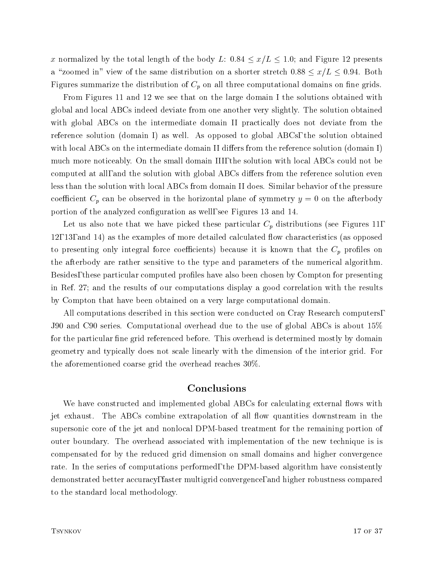x normalized by the total length of the body L:  $0.84 \le x/L \le 1.0$ ; and Figure 12 presents a "zoomed in" view of the same distribution on a shorter stretch  $0.88 \le x/L \le 0.94$ . Both Figures summarize the distribution of Cp on all three computational domains on ne grids.

From Figures 11 and 12 we see that on the large domain I the solutions obtained with global and local ABCs indeed deviate from one another very slightly. The solution obtained with global ABCs on the intermediate domain II practically does not deviate from the reference solution (domain I) as well. As opposed to global ABCs, the solution obtained with local ABCs on the intermediate domain II differs from the reference solution (domain I) much more noticeably. On the small domain III, the solution with local ABCs could not be computed at all, and the solution with global ABCs differs from the reference solution even less than the solution with local ABCs from domain II does. Similar behavior of the pressure coecient Cp can be observed in the horizontal plane of the plane of symmetry  $\rho$  ,  $\rho$  , which are after body portion of the analyzed configuration as well, see Figures 13 and 14.

Let us also note that we have picked these particular Cp distributions (see Figures 11, 12, 13, and 14) as the examples of more detailed calculated flow characteristics (as opposed to present for present for  $\rho$  integral force coecients) because it is known that the Cp problem is known that the Cp problem is known that the Cp problem is known that the Cp problem is known that the Cp problem is know the afterbody are rather sensitive to the type and parameters of the numerical algorithm. Besides, these particular computed profiles have also been chosen by Compton for presenting in Ref. 27; and the results of our computations display a good correlation with the results by Compton that have been obtained on a very large computational domain.

All computations described in this section were conducted on Cray Research computers, J90 and C90 series. Computational overhead due to the use of global ABCs is about 15% for the particular fine grid referenced before. This overhead is determined mostly by domain geometry and typically does not scale linearly with the dimension of the interior grid. For the aforementioned coarse grid the overhead reaches 30%.

#### Conclusions

We have constructed and implemented global ABCs for calculating external flows with jet exhaust. The ABCs combine extrapolation of all flow quantities downstream in the supersonic core of the jet and nonlocal DPM-based treatment for the remaining portion of outer boundary. The overhead associated with implementation of the new technique is is compensated for by the reduced grid dimension on small domains and higher convergence rate. In the series of computations performed, the DPM-based algorithm have consistently demonstrated better accuracy, faster multigrid convergence, and higher robustness compared to the standard local methodology.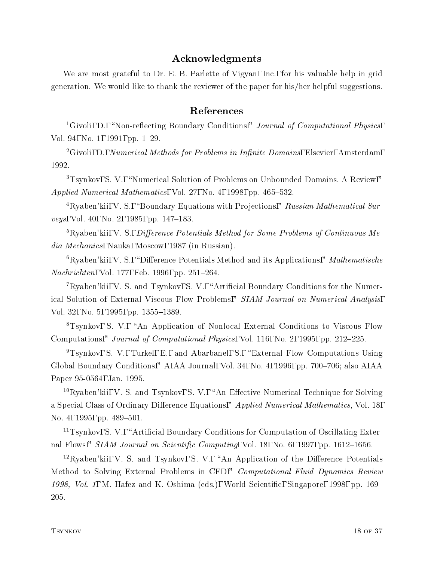#### Acknowledgments

We are most grateful to Dr. E. B. Parlette of Vigyan, Inc., for his valuable help in grid generation. We would like to thank the reviewer of the paper for his/her helpful suggestions.

#### References

<sup>1</sup>Givoli, D., "Non-reflecting Boundary Conditions," Journal of Computational Physics, Vol. 94, No. 1, 1991, pp. 1–29.

<sup>2</sup>Givoli, D., Numerical Methods for Problems in Infinite Domains, Elsevier, Amsterdam, 1992.

<sup>3</sup>Tsynkov, S. V., "Numerical Solution of Problems on Unbounded Domains. A Review," Applied Numerical Mathematics, Vol. 27, No. 4, 1998, pp. 465-532.

 ${}^{4}$ Ryaben'kii, V. S., "Boundary Equations with Projections," Russian Mathematical Surveys, Vol. 40, No. 2, 1985, pp. 147–183.

 ${}^{5}$ Ryaben'kii, V. S., Difference Potentials Method for Some Problems of Continuous Media Mechanics, Nauka, Moscow, 1987 (in Russian).

 ${}^6Ryaben'kii, V. S., "Difference Potentials Method and its Applications," *Mathematicsche*$ Nachrichten, Vol. 177, Feb. 1996, pp. 251-264.

 ${}^{7}$ Ryaben'kii, V. S. and Tsynkov, S. V., "Artificial Boundary Conditions for the Numerical Solution of External Viscous Flow Problems," SIAM Journal on Numerical Analysis, Vol. 32, No. 5, 1995, pp. 1355–1389.

<sup>8</sup>Tsynkov, S. V., "An Application of Nonlocal External Conditions to Viscous Flow Computations," Journal of Computational Physics, Vol. 116, No. 2, 1995, pp. 212-225.

<sup>9</sup>Tsynkov, S. V., Turkel, E., and Abarbanel, S., "External Flow Computations Using Global Boundary Conditions," AIAA Journal, Vol. 34, No. 4, 1996, pp. 700-706; also AIAA Paper 95-0564, Jan. 1995.

 $10$ Ryaben'kii, V. S. and Tsynkov, S. V., "An Effective Numerical Technique for Solving a Special Class of Ordinary Difference Equations," Applied Numerical Mathematics, Vol. 18, No. 4, 1995, pp. 489–501.

 $11$ Tsynkov, S. V., "Artificial Boundary Conditions for Computation of Oscillating External Flows," SIAM Journal on Scientific Computing, Vol. 18, No. 6, 1997, pp. 1612-1656.

 $^{12}$ Ryaben'kii, V. S. and Tsynkov, S. V., "An Application of the Difference Potentials Method to Solving External Problems in CFD," Computational Fluid Dynamics Review 1998, Vol. 1, M. Hafez and K. Oshima (eds.), World Scientific, Singapore, 1998, pp. 169– 205.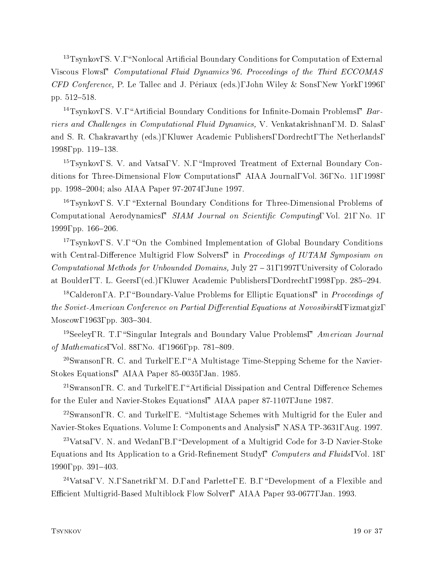$13$ Tsynkov, S. V., "Nonlocal Artificial Boundary Conditions for Computation of External Viscous Flows," Computational Fluid Dynamics'96. Proceedings of the Third ECCOMAS CFD Conference, P. Le Tallec and J. Periaux (eds.), John Wiley & Sons, New York, 1996, pp. 512-518.

<sup>14</sup>Tsynkov, S. V., "Artificial Boundary Conditions for Infinite-Domain Problems," Barriers and Challenges in Computational Fluid Dynamics, V. Venkatakrishnan, M. D. Salas, and S. R. Chakravarthy (eds.), Kluwer Academic Publishers, Dordrecht, The Netherlands, 1998, pp. 119-138.

<sup>15</sup>Tsynkov, S. V. and Vatsa, V. N., "Improved Treatment of External Boundary Conditions for Three-Dimensional Flow Computations," AIAA Journal, Vol. 36, No. 11, 1998, pp. 1998{2004; also AIAA Paper 97-2074, June 1997.

<sup>16</sup>Tsynkov, S. V., "External Boundary Conditions for Three-Dimensional Problems of Computational Aerodynamics," SIAM Journal on Scientific Computing, Vol. 21, No. 1, 1999, pp. 166-206.

 $17$ Tsynkov, S. V., "On the Combined Implementation of Global Boundary Conditions with Central-Difference Multigrid Flow Solvers," in Proceedings of IUTAM Symposium on Computational Methods for Unbounded Domains, July  $27 - 31$ , 1997, University of Colorado at Boulder, T. L. Geers, (ed.), Kluwer Academic Publishers, Dordrecht, 1998, pp. 285–294.

<sup>18</sup>Calderon, A. P., "Boundary-Value Problems for Elliptic Equations," in *Proceedings of* the Soviet-American Conference on Partial Differential Equations at Novosibirsk, Fizmatgiz, Moscow, 1963, pp. 303-304.

<sup>19</sup>Seeley, R. T., "Singular Integrals and Boundary Value Problems," American Journal of Mathematics, Vol. 88, No. 4, 1966, pp.  $781{-}809$ .

 $20$ Swanson, R. C. and Turkel, E., "A Multistage Time-Stepping Scheme for the Navier-Stokes Equations," AIAA Paper 85-0035, Jan. 1985.

 $^{21}$ Swanson, R. C. and Turkel, E., "Artificial Dissipation and Central Difference Schemes for the Euler and Navier-Stokes Equations," AIAA paper 87-1107, June 1987.

 $22$ Swanson, R. C. and Turkel, E. "Multistage Schemes with Multigrid for the Euler and Navier-Stokes Equations. Volume I: Components and Analysis," NASA TP-3631, Aug. 1997.

 $23$ Vatsa, V. N. and Wedan, B., "Development of a Multigrid Code for 3-D Navier-Stoke Equations and Its Application to a Grid-Refinement Study," Computers and Fluids, Vol. 18, 1990, pp. 391-403.

 $24V$ atsa, V. N., Sanetrik, M. D., and Parlette, E. B., "Development of a Flexible and Ecient Multigrid-Based Multiblock Flow Solver," AIAA Paper 93-0677, Jan. 1993.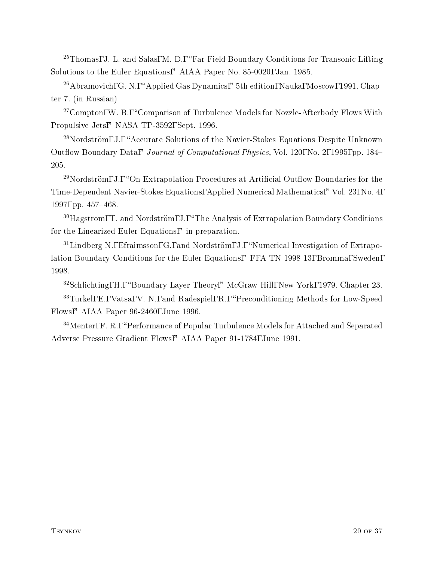$25$ Thomas, J. L. and Salas, M. D., "Far-Field Boundary Conditions for Transonic Lifting Solutions to the Euler Equations," AIAA Paper No. 85-0020, Jan. 1985.

 $26$ Abramovich, G. N., "Applied Gas Dynamics," 5th edition, Nauka, Moscow, 1991. Chapter 7. (in Russian)

<sup>27</sup>Compton, W. B., "Comparison of Turbulence Models for Nozzle-Afterbody Flows With Propulsive Jets," NASA TP-3592, Sept. 1996.

 $28$ Nordström, J., "Accurate Solutions of the Navier-Stokes Equations Despite Unknown Outflow Boundary Data," *Journal of Computational Physics*, Vol. 120, No. 2, 1995, pp. 184– 205.

 $29$ Nordström, J., "On Extrapolation Procedures at Artificial Outflow Boundaries for the Time-Dependent Navier-Stokes Equations, Applied Numerical Mathematics," Vol. 23, No. 4, 1997, pp. 457-468.

<sup>30</sup>Hagstrom, T. and Nordström, J., "The Analysis of Extrapolation Boundary Conditions for the Linearized Euler Equations," in preparation.

 $31$ Lindberg N., Efraimsson, G., and Nordström, J., "Numerical Investigation of Extrapolation Boundary Conditions for the Euler Equations," FFA TN 1998-13, Bromma, Sweden, 1998.

 $32$ Schlichting, H., "Boundary-Layer Theory," McGraw-Hill, New York, 1979. Chapter 23. <sup>33</sup>Turkel, E., Vatsa, V. N., and Radespiel, R., "Preconditioning Methods for Low-Speed Flows," AIAA Paper 96-2460, June 1996.

<sup>34</sup> Menter, F. R., "Performance of Popular Turbulence Models for Attached and Separated Adverse Pressure Gradient Flows," AIAA Paper 91-1784, June 1991.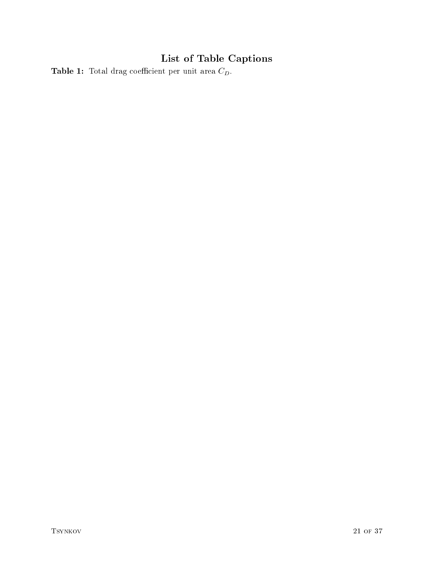## List of Table Captions

**Table 1:** Total drag coefficient per unit area  $\cup$ *p*.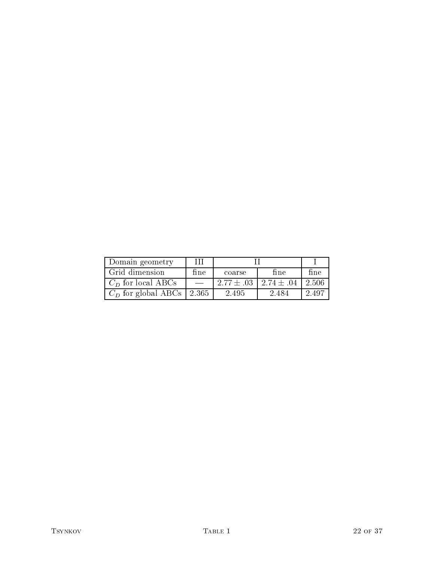| Domain geometry               |      |        |                                 |        |
|-------------------------------|------|--------|---------------------------------|--------|
| Grid dimension                | fine | coarse | fine                            | fine   |
| $C_D$ for local ABCs          |      |        | $2.77 \pm .03$   $2.74 \pm .04$ | 12.506 |
| $C_D$ for global ABCs   2.365 |      | 2.495  | 2.484                           | 2.497  |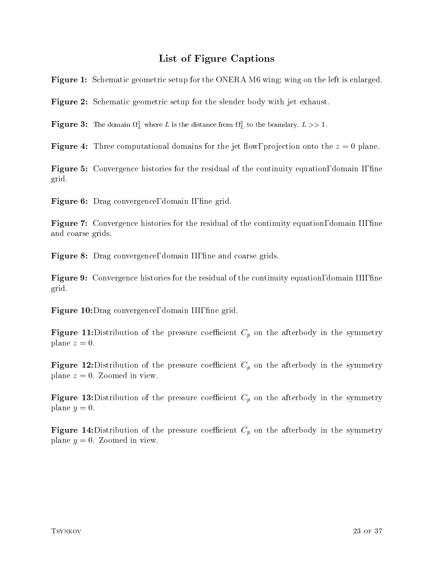#### List of Figure Captions

Figure 1: Schematic geometric setup for the ONERA M6 wing; wing on the left is enlarged.

Figure 2: Schematic geometric setup for the slender body with jet exhaust.

**Figure 3:** The domain  $u_L$  where L is the distance from  $u_L$  to the boundary.  $L >> 1$ .

**Figure 4.** Three computational domains for the jet now, projection onto the  $z = 0$  plane.

Figure 5: Convergence histories for the residual of the continuity equation, domain I, ne grid.

Figure 6: Drag convergence, domain I, ne grid.

Figure 7: Convergence histories for the residual of the continuity equation, domain II, ne and coarse grids.

Figure 8: Drag convergence, domain II, ne and coarse grids.

Figure 9: Convergence histories for the residual of the continuity equation, domain III, ne grid.

Figure 10: Drag convergence, domain III, fine grid.

 $\blacksquare$  -gare  $\blacksquare$  notice at the pressure coemetry Cp on the arters on the symmetry plane  $z=0$ .

Figure 12:Distribution of the pressure coecient Cp on the symmetry  $\sim p$  on the after  $\sim p$  in the symmetry  $\sim p$ plane  $z = 0$ . Zoomed in view.

Figure 13:Distribution of the pressure coecient Cp on the after  $\omega$  in the symmetry  $\omega$ plane  $y = 0$ .

 $F_{\rm eff}$ ure  $F_{\rm eff}$  distribution of the pressure coefficient Cp on the arters on the symmetry plane  $y = 0$ . Zoomed in view.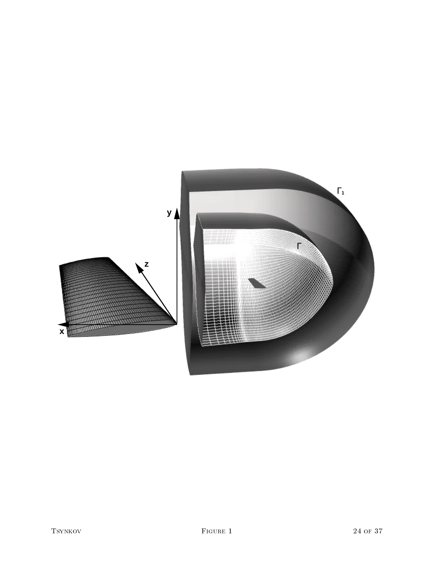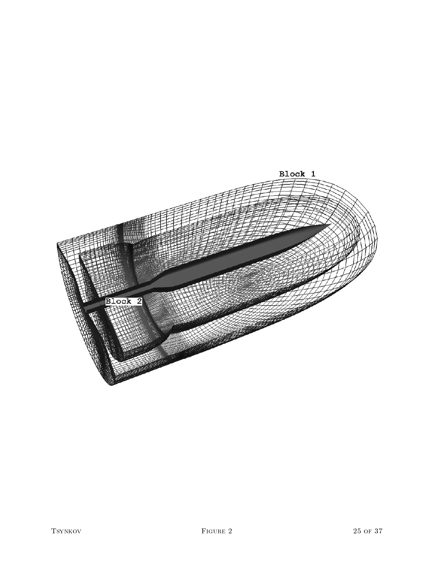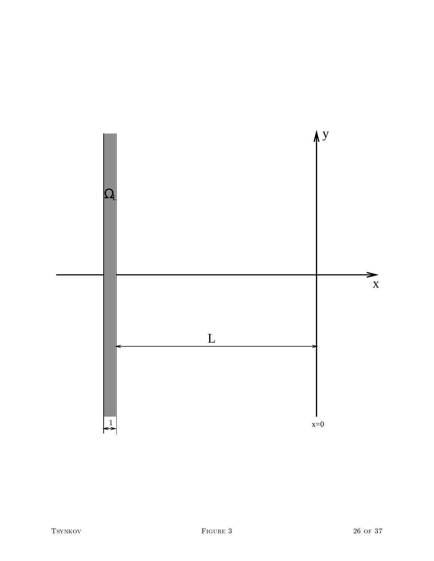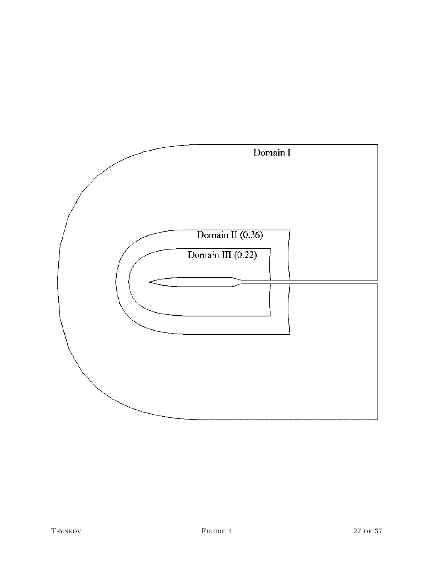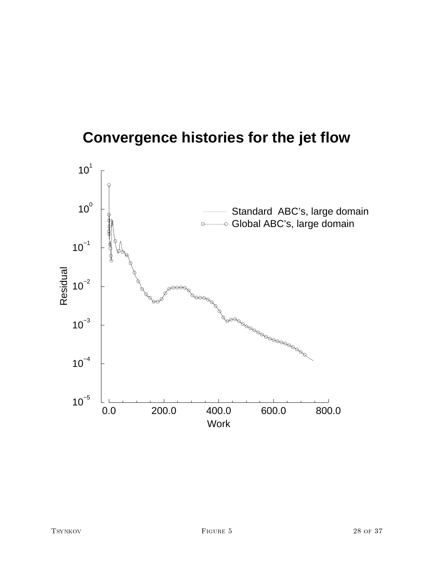

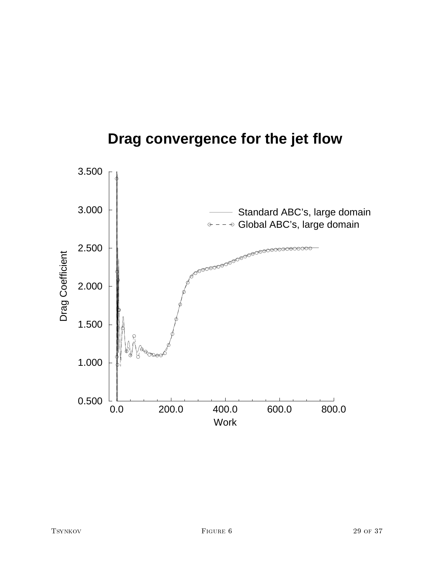

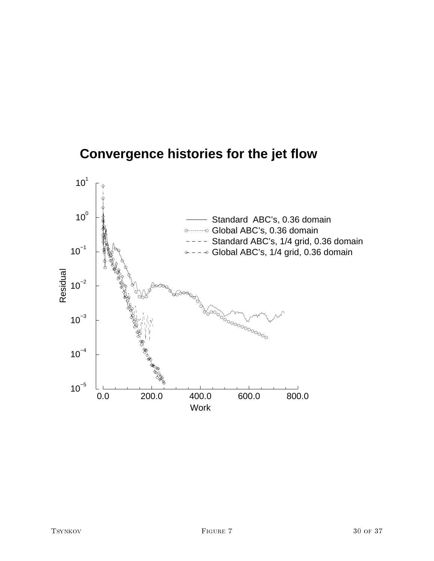

# **Convergence histories for the jet flow**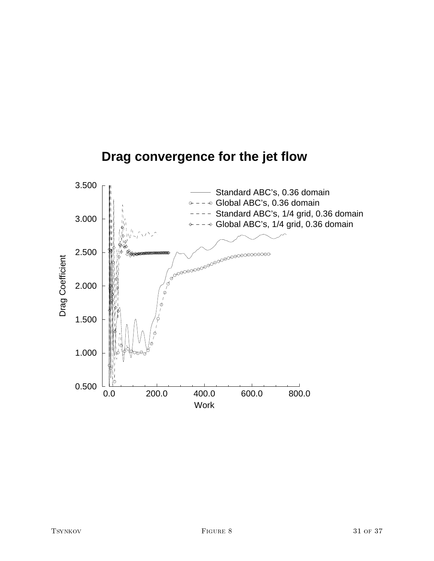

# **Drag convergence for the jet flow**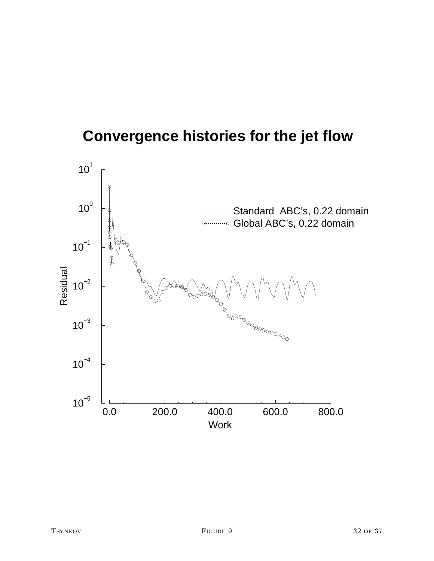

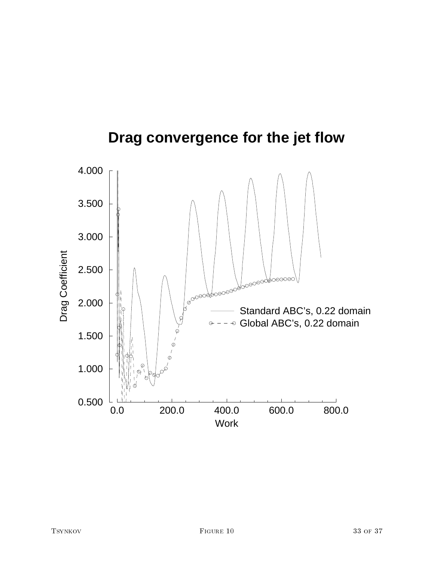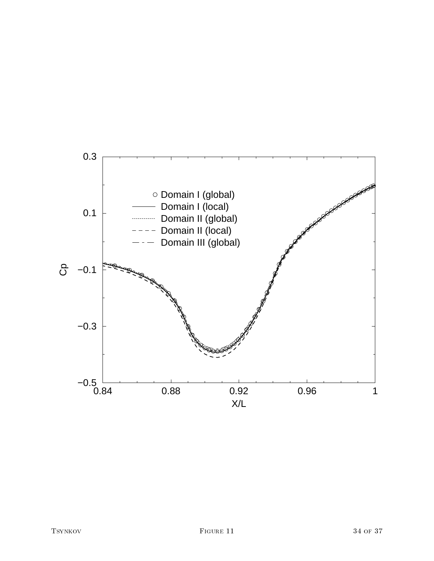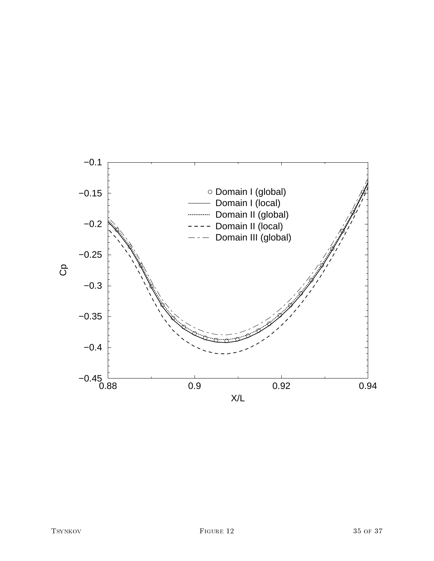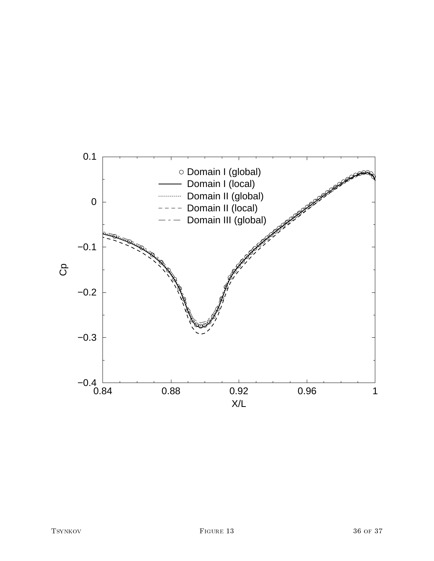